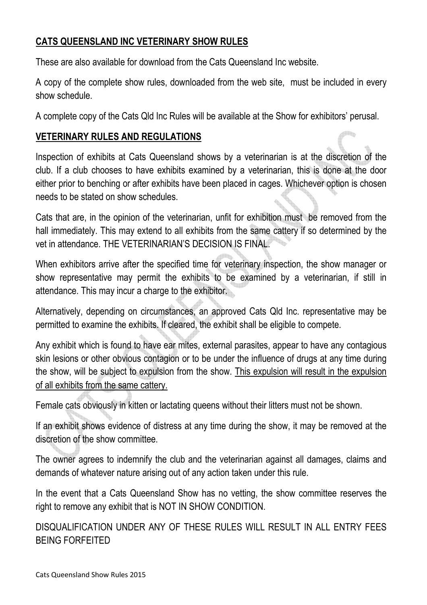## **CATS QUEENSLAND INC VETERINARY SHOW RULES**

These are also available for download from the Cats Queensland Inc website.

A copy of the complete show rules, downloaded from the web site, must be included in every show schedule.

A complete copy of the Cats Qld Inc Rules will be available at the Show for exhibitors' perusal.

## **VETERINARY RULES AND REGULATIONS**

Inspection of exhibits at Cats Queensland shows by a veterinarian is at the discretion of the club. If a club chooses to have exhibits examined by a veterinarian, this is done at the door either prior to benching or after exhibits have been placed in cages. Whichever option is chosen needs to be stated on show schedules.

Cats that are, in the opinion of the veterinarian, unfit for exhibition must be removed from the hall immediately. This may extend to all exhibits from the same cattery if so determined by the vet in attendance. THE VETERINARIAN'S DECISION IS FINAL.

When exhibitors arrive after the specified time for veterinary inspection, the show manager or show representative may permit the exhibits to be examined by a veterinarian, if still in attendance. This may incur a charge to the exhibitor.

Alternatively, depending on circumstances, an approved Cats Qld Inc. representative may be permitted to examine the exhibits. If cleared, the exhibit shall be eligible to compete.

Any exhibit which is found to have ear mites, external parasites, appear to have any contagious skin lesions or other obvious contagion or to be under the influence of drugs at any time during the show, will be subject to expulsion from the show. This expulsion will result in the expulsion of all exhibits from the same cattery.

Female cats obviously in kitten or lactating queens without their litters must not be shown.

If an exhibit shows evidence of distress at any time during the show, it may be removed at the discretion of the show committee.

The owner agrees to indemnify the club and the veterinarian against all damages, claims and demands of whatever nature arising out of any action taken under this rule.

In the event that a Cats Queensland Show has no vetting, the show committee reserves the right to remove any exhibit that is NOT IN SHOW CONDITION.

DISQUALIFICATION UNDER ANY OF THESE RULES WILL RESULT IN ALL ENTRY FEES BEING FORFEITED